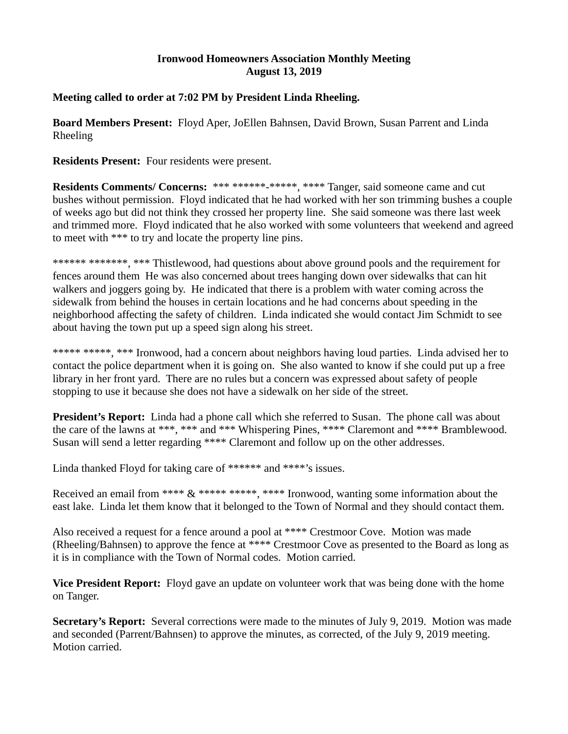## **Ironwood Homeowners Association Monthly Meeting August 13, 2019**

## **Meeting called to order at 7:02 PM by President Linda Rheeling.**

**Board Members Present:** Floyd Aper, JoEllen Bahnsen, David Brown, Susan Parrent and Linda Rheeling

**Residents Present:** Four residents were present.

**Residents Comments/ Concerns:** \*\*\* \*\*\*\*\*\*<sub>-</sub>\*\*\*\*\*, \*\*\*\* Tanger, said someone came and cut bushes without permission. Floyd indicated that he had worked with her son trimming bushes a couple of weeks ago but did not think they crossed her property line. She said someone was there last week and trimmed more. Floyd indicated that he also worked with some volunteers that weekend and agreed to meet with \*\*\* to try and locate the property line pins.

\*\*\*\*\*\* \*\*\*\*\*\*\*, \*\*\* Thistlewood, had questions about above ground pools and the requirement for fences around them He was also concerned about trees hanging down over sidewalks that can hit walkers and joggers going by. He indicated that there is a problem with water coming across the sidewalk from behind the houses in certain locations and he had concerns about speeding in the neighborhood affecting the safety of children. Linda indicated she would contact Jim Schmidt to see about having the town put up a speed sign along his street.

\*\*\*\*\* \*\*\*\*\*, \*\*\* Ironwood, had a concern about neighbors having loud parties. Linda advised her to contact the police department when it is going on. She also wanted to know if she could put up a free library in her front yard. There are no rules but a concern was expressed about safety of people stopping to use it because she does not have a sidewalk on her side of the street.

**President's Report:** Linda had a phone call which she referred to Susan. The phone call was about the care of the lawns at \*\*\*, \*\*\* and \*\*\* Whispering Pines, \*\*\*\* Claremont and \*\*\*\* Bramblewood. Susan will send a letter regarding \*\*\*\* Claremont and follow up on the other addresses.

Linda thanked Floyd for taking care of \*\*\*\*\*\* and \*\*\*\*'s issues.

Received an email from \*\*\*\*  $\&$  \*\*\*\*\* \*\*\*\*\*, \*\*\*\* Ironwood, wanting some information about the east lake. Linda let them know that it belonged to the Town of Normal and they should contact them.

Also received a request for a fence around a pool at \*\*\*\* Crestmoor Cove. Motion was made (Rheeling/Bahnsen) to approve the fence at \*\*\*\* Crestmoor Cove as presented to the Board as long as it is in compliance with the Town of Normal codes. Motion carried.

**Vice President Report:** Floyd gave an update on volunteer work that was being done with the home on Tanger.

**Secretary's Report:** Several corrections were made to the minutes of July 9, 2019. Motion was made and seconded (Parrent/Bahnsen) to approve the minutes, as corrected, of the July 9, 2019 meeting. Motion carried.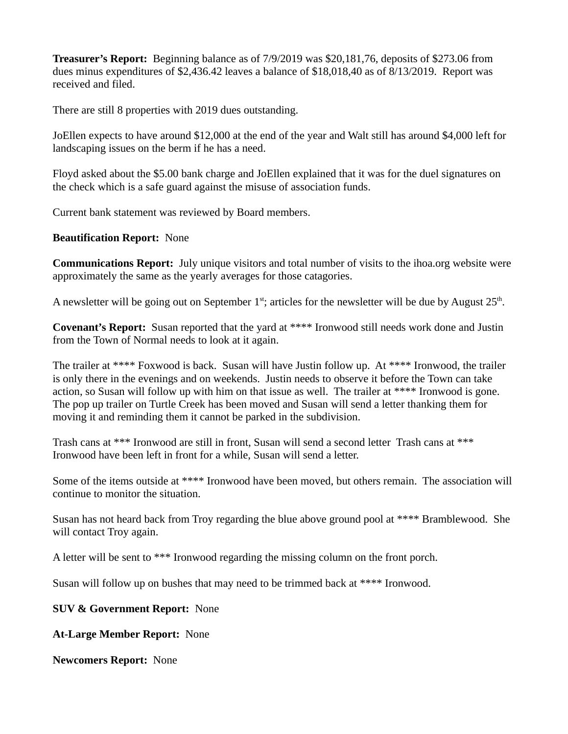**Treasurer's Report:** Beginning balance as of 7/9/2019 was \$20,181,76, deposits of \$273.06 from dues minus expenditures of \$2,436.42 leaves a balance of \$18,018,40 as of 8/13/2019. Report was received and filed.

There are still 8 properties with 2019 dues outstanding.

JoEllen expects to have around \$12,000 at the end of the year and Walt still has around \$4,000 left for landscaping issues on the berm if he has a need.

Floyd asked about the \$5.00 bank charge and JoEllen explained that it was for the duel signatures on the check which is a safe guard against the misuse of association funds.

Current bank statement was reviewed by Board members.

## **Beautification Report:** None

**Communications Report:** July unique visitors and total number of visits to the ihoa.org website were approximately the same as the yearly averages for those catagories.

A newsletter will be going out on September 1<sup>st</sup>; articles for the newsletter will be due by August 25<sup>th</sup>.

**Covenant's Report:** Susan reported that the yard at \*\*\*\* Ironwood still needs work done and Justin from the Town of Normal needs to look at it again.

The trailer at \*\*\*\* Foxwood is back. Susan will have Justin follow up. At \*\*\*\* Ironwood, the trailer is only there in the evenings and on weekends. Justin needs to observe it before the Town can take action, so Susan will follow up with him on that issue as well. The trailer at \*\*\*\* Ironwood is gone. The pop up trailer on Turtle Creek has been moved and Susan will send a letter thanking them for moving it and reminding them it cannot be parked in the subdivision.

Trash cans at \*\*\* Ironwood are still in front, Susan will send a second letter Trash cans at \*\*\* Ironwood have been left in front for a while, Susan will send a letter.

Some of the items outside at \*\*\*\* Ironwood have been moved, but others remain. The association will continue to monitor the situation.

Susan has not heard back from Troy regarding the blue above ground pool at \*\*\*\* Bramblewood. She will contact Troy again.

A letter will be sent to \*\*\* Ironwood regarding the missing column on the front porch.

Susan will follow up on bushes that may need to be trimmed back at \*\*\*\* Ironwood.

**SUV & Government Report:** None

**At-Large Member Report:** None

**Newcomers Report:** None